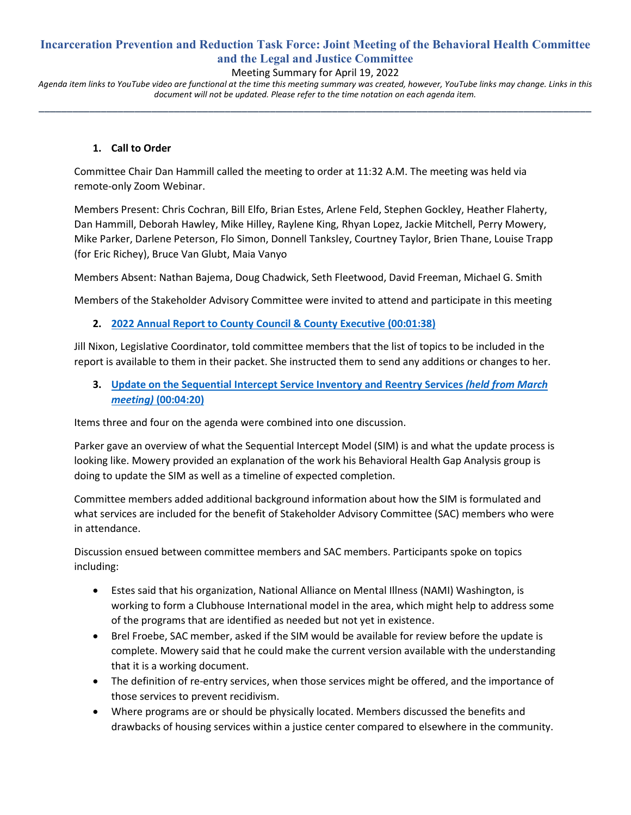## **Incarceration Prevention and Reduction Task Force: Joint Meeting of the Behavioral Health Committee and the Legal and Justice Committee**

## Meeting Summary for April 19, 2022

*Agenda item links to YouTube video are functional at the time this meeting summary was created, however, YouTube links may change. Links in this document will not be updated. Please refer to the time notation on each agenda item.* **\_\_\_\_\_\_\_\_\_\_\_\_\_\_\_\_\_\_\_\_\_\_\_\_\_\_\_\_\_\_\_\_\_\_\_\_\_\_\_\_\_\_\_\_\_\_\_\_\_\_\_\_\_\_\_\_\_\_\_\_\_\_\_\_\_\_\_\_\_\_\_\_\_\_\_\_\_\_\_\_\_\_\_\_\_\_\_\_\_\_\_\_\_\_\_\_\_\_**

#### **1. Call to Order**

Committee Chair Dan Hammill called the meeting to order at 11:32 A.M. The meeting was held via remote-only Zoom Webinar.

Members Present: Chris Cochran, Bill Elfo, Brian Estes, Arlene Feld, Stephen Gockley, Heather Flaherty, Dan Hammill, Deborah Hawley, Mike Hilley, Raylene King, Rhyan Lopez, Jackie Mitchell, Perry Mowery, Mike Parker, Darlene Peterson, Flo Simon, Donnell Tanksley, Courtney Taylor, Brien Thane, Louise Trapp (for Eric Richey), Bruce Van Glubt, Maia Vanyo

Members Absent: Nathan Bajema, Doug Chadwick, Seth Fleetwood, David Freeman, Michael G. Smith

Members of the Stakeholder Advisory Committee were invited to attend and participate in this meeting

#### **2. [2022 Annual Report to County Council & County Executive](https://www.youtube.com/watch?v=69aS35jBZCY&t=98s) (00:01:38)**

Jill Nixon, Legislative Coordinator, told committee members that the list of topics to be included in the report is available to them in their packet. She instructed them to send any additions or changes to her.

**3. [Update on the Sequential Intercept Service Inventory](https://www.youtube.com/watch?v=69aS35jBZCY&t=260s) and Reentry Services** *(held from March meeting)* **[\(00:04:20\)](https://www.youtube.com/watch?v=69aS35jBZCY&t=260s)**

Items three and four on the agenda were combined into one discussion.

Parker gave an overview of what the Sequential Intercept Model (SIM) is and what the update process is looking like. Mowery provided an explanation of the work his Behavioral Health Gap Analysis group is doing to update the SIM as well as a timeline of expected completion.

Committee members added additional background information about how the SIM is formulated and what services are included for the benefit of Stakeholder Advisory Committee (SAC) members who were in attendance.

Discussion ensued between committee members and SAC members. Participants spoke on topics including:

- Estes said that his organization, National Alliance on Mental Illness (NAMI) Washington, is working to form a Clubhouse International model in the area, which might help to address some of the programs that are identified as needed but not yet in existence.
- Brel Froebe, SAC member, asked if the SIM would be available for review before the update is complete. Mowery said that he could make the current version available with the understanding that it is a working document.
- The definition of re-entry services, when those services might be offered, and the importance of those services to prevent recidivism.
- Where programs are or should be physically located. Members discussed the benefits and drawbacks of housing services within a justice center compared to elsewhere in the community.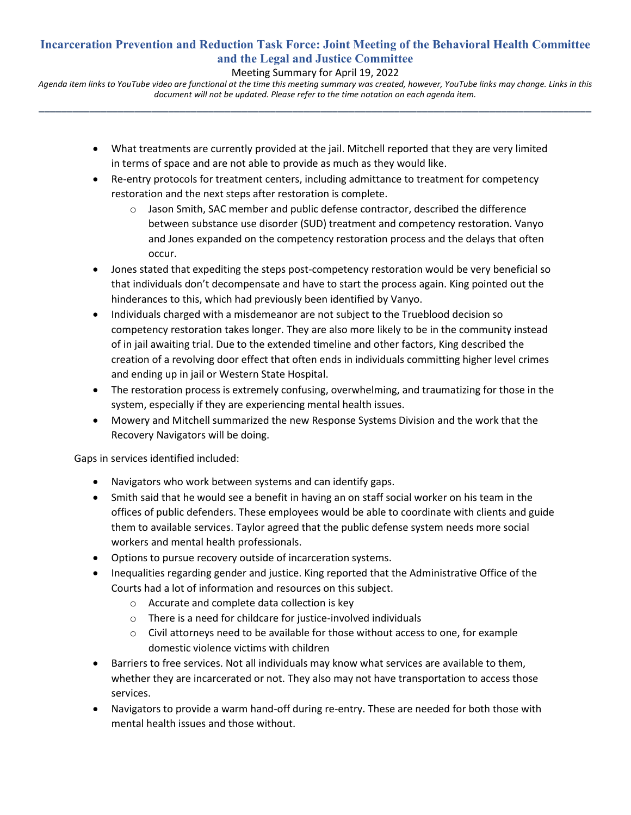# **Incarceration Prevention and Reduction Task Force: Joint Meeting of the Behavioral Health Committee and the Legal and Justice Committee**

## Meeting Summary for April 19, 2022

*Agenda item links to YouTube video are functional at the time this meeting summary was created, however, YouTube links may change. Links in this document will not be updated. Please refer to the time notation on each agenda item.* **\_\_\_\_\_\_\_\_\_\_\_\_\_\_\_\_\_\_\_\_\_\_\_\_\_\_\_\_\_\_\_\_\_\_\_\_\_\_\_\_\_\_\_\_\_\_\_\_\_\_\_\_\_\_\_\_\_\_\_\_\_\_\_\_\_\_\_\_\_\_\_\_\_\_\_\_\_\_\_\_\_\_\_\_\_\_\_\_\_\_\_\_\_\_\_\_\_\_**

- What treatments are currently provided at the jail. Mitchell reported that they are very limited in terms of space and are not able to provide as much as they would like.
- Re-entry protocols for treatment centers, including admittance to treatment for competency restoration and the next steps after restoration is complete.
	- $\circ$  Jason Smith, SAC member and public defense contractor, described the difference between substance use disorder (SUD) treatment and competency restoration. Vanyo and Jones expanded on the competency restoration process and the delays that often occur.
- Jones stated that expediting the steps post-competency restoration would be very beneficial so that individuals don't decompensate and have to start the process again. King pointed out the hinderances to this, which had previously been identified by Vanyo.
- Individuals charged with a misdemeanor are not subject to the Trueblood decision so competency restoration takes longer. They are also more likely to be in the community instead of in jail awaiting trial. Due to the extended timeline and other factors, King described the creation of a revolving door effect that often ends in individuals committing higher level crimes and ending up in jail or Western State Hospital.
- The restoration process is extremely confusing, overwhelming, and traumatizing for those in the system, especially if they are experiencing mental health issues.
- Mowery and Mitchell summarized the new Response Systems Division and the work that the Recovery Navigators will be doing.

Gaps in services identified included:

- Navigators who work between systems and can identify gaps.
- Smith said that he would see a benefit in having an on staff social worker on his team in the offices of public defenders. These employees would be able to coordinate with clients and guide them to available services. Taylor agreed that the public defense system needs more social workers and mental health professionals.
- Options to pursue recovery outside of incarceration systems.
- Inequalities regarding gender and justice. King reported that the Administrative Office of the Courts had a lot of information and resources on this subject.
	- o Accurate and complete data collection is key
	- o There is a need for childcare for justice-involved individuals
	- $\circ$  Civil attorneys need to be available for those without access to one, for example domestic violence victims with children
- Barriers to free services. Not all individuals may know what services are available to them, whether they are incarcerated or not. They also may not have transportation to access those services.
- Navigators to provide a warm hand-off during re-entry. These are needed for both those with mental health issues and those without.